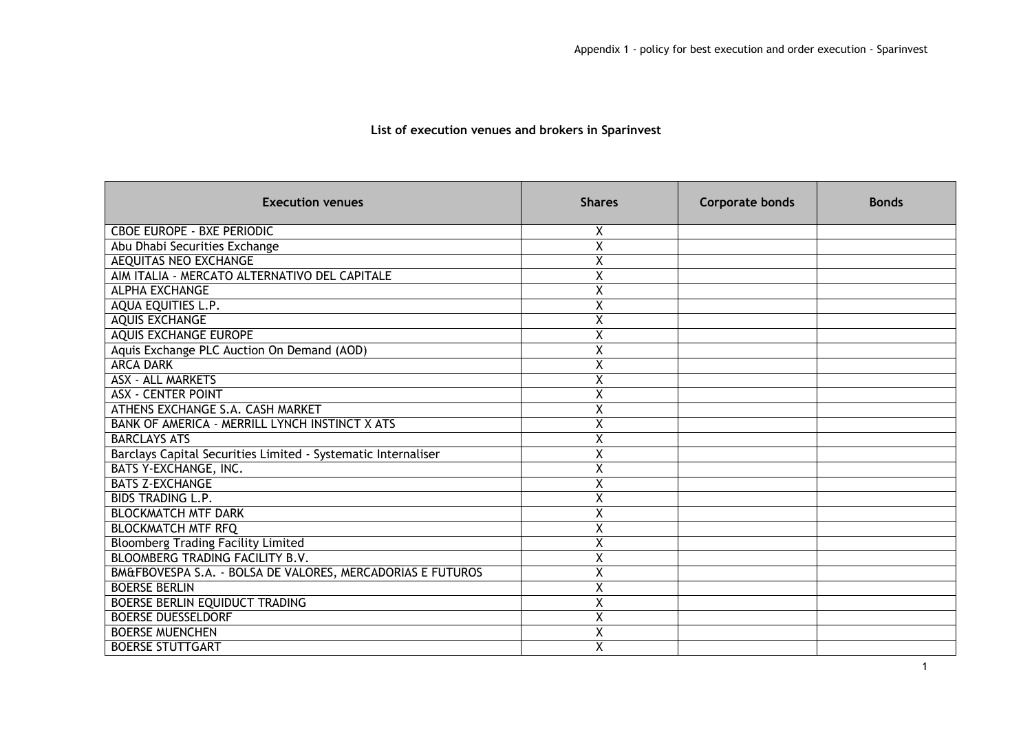## **List of execution venues and brokers in Sparinvest**

| <b>Execution venues</b>                                       | <b>Shares</b>           | <b>Corporate bonds</b> | <b>Bonds</b> |
|---------------------------------------------------------------|-------------------------|------------------------|--------------|
| <b>CBOE EUROPE - BXE PERIODIC</b>                             | X                       |                        |              |
| Abu Dhabi Securities Exchange                                 | $\overline{\mathsf{x}}$ |                        |              |
| <b>AEQUITAS NEO EXCHANGE</b>                                  | $\overline{\mathsf{x}}$ |                        |              |
| AIM ITALIA - MERCATO ALTERNATIVO DEL CAPITALE                 | X                       |                        |              |
| <b>ALPHA EXCHANGE</b>                                         | X                       |                        |              |
| AQUA EQUITIES L.P.                                            | $\overline{\mathsf{x}}$ |                        |              |
| <b>AQUIS EXCHANGE</b>                                         | X                       |                        |              |
| <b>AQUIS EXCHANGE EUROPE</b>                                  | Χ                       |                        |              |
| Aquis Exchange PLC Auction On Demand (AOD)                    | Χ                       |                        |              |
| <b>ARCA DARK</b>                                              | X                       |                        |              |
| <b>ASX - ALL MARKETS</b>                                      | Χ                       |                        |              |
| <b>ASX - CENTER POINT</b>                                     | $\overline{\mathsf{x}}$ |                        |              |
| ATHENS EXCHANGE S.A. CASH MARKET                              | X                       |                        |              |
| BANK OF AMERICA - MERRILL LYNCH INSTINCT X ATS                | X                       |                        |              |
| <b>BARCLAYS ATS</b>                                           | $\overline{\mathsf{x}}$ |                        |              |
| Barclays Capital Securities Limited - Systematic Internaliser | $\overline{\mathsf{x}}$ |                        |              |
| BATS Y-EXCHANGE, INC.                                         | X                       |                        |              |
| <b>BATS Z-EXCHANGE</b>                                        | $\overline{\mathsf{x}}$ |                        |              |
| <b>BIDS TRADING L.P.</b>                                      | X                       |                        |              |
| <b>BLOCKMATCH MTF DARK</b>                                    | X                       |                        |              |
| <b>BLOCKMATCH MTF RFQ</b>                                     | Χ                       |                        |              |
| <b>Bloomberg Trading Facility Limited</b>                     | $\overline{\mathsf{x}}$ |                        |              |
| BLOOMBERG TRADING FACILITY B.V.                               | X                       |                        |              |
| BM&FBOVESPA S.A. - BOLSA DE VALORES, MERCADORIAS E FUTUROS    | Χ                       |                        |              |
| <b>BOERSE BERLIN</b>                                          | X                       |                        |              |
| BOERSE BERLIN EQUIDUCT TRADING                                | X                       |                        |              |
| <b>BOERSE DUESSELDORF</b>                                     | Χ                       |                        |              |
| <b>BOERSE MUENCHEN</b>                                        | $\overline{\mathsf{x}}$ |                        |              |
| <b>BOERSE STUTTGART</b>                                       | $\overline{\mathsf{x}}$ |                        |              |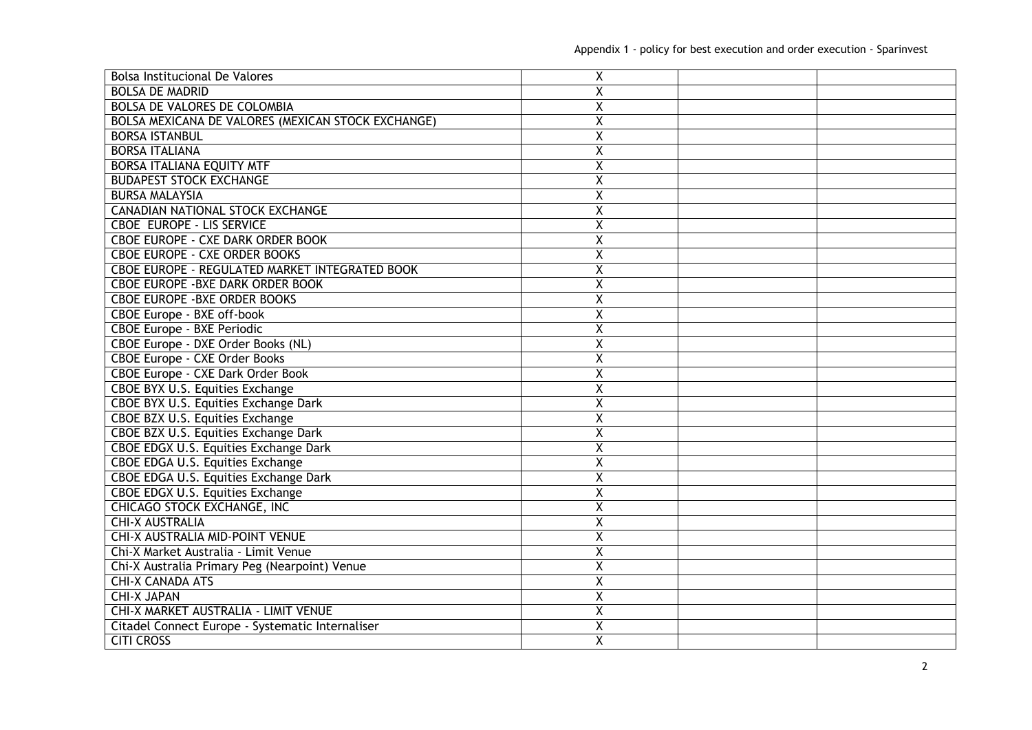| <b>Bolsa Institucional De Valores</b>              | X                       |  |
|----------------------------------------------------|-------------------------|--|
| <b>BOLSA DE MADRID</b>                             | $\overline{\mathsf{x}}$ |  |
| <b>BOLSA DE VALORES DE COLOMBIA</b>                | Χ                       |  |
| BOLSA MEXICANA DE VALORES (MEXICAN STOCK EXCHANGE) | $\overline{\mathsf{x}}$ |  |
| <b>BORSA ISTANBUL</b>                              | Χ                       |  |
| <b>BORSA ITALIANA</b>                              | X                       |  |
| <b>BORSA ITALIANA EQUITY MTF</b>                   | Χ                       |  |
| <b>BUDAPEST STOCK EXCHANGE</b>                     | X                       |  |
| <b>BURSA MALAYSIA</b>                              | Χ                       |  |
| <b>CANADIAN NATIONAL STOCK EXCHANGE</b>            | $\overline{\mathsf{x}}$ |  |
| <b>CBOE EUROPE - LIS SERVICE</b>                   | $\overline{\mathsf{x}}$ |  |
| <b>CBOE EUROPE - CXE DARK ORDER BOOK</b>           | $\overline{\mathsf{x}}$ |  |
| <b>CBOE EUROPE - CXE ORDER BOOKS</b>               | $\overline{\mathsf{x}}$ |  |
| CBOE EUROPE - REGULATED MARKET INTEGRATED BOOK     | $\overline{\mathsf{x}}$ |  |
| <b>CBOE EUROPE - BXE DARK ORDER BOOK</b>           | X                       |  |
| <b>CBOE EUROPE - BXE ORDER BOOKS</b>               | $\overline{\mathsf{x}}$ |  |
| CBOE Europe - BXE off-book                         | $\overline{\mathsf{x}}$ |  |
| <b>CBOE Europe - BXE Periodic</b>                  | Χ                       |  |
| CBOE Europe - DXE Order Books (NL)                 | X                       |  |
| <b>CBOE Europe - CXE Order Books</b>               | Χ                       |  |
| <b>CBOE Europe - CXE Dark Order Book</b>           | X                       |  |
| <b>CBOE BYX U.S. Equities Exchange</b>             | $\overline{\mathsf{x}}$ |  |
| CBOE BYX U.S. Equities Exchange Dark               | $\overline{\mathsf{x}}$ |  |
| CBOE BZX U.S. Equities Exchange                    | $\overline{\mathsf{x}}$ |  |
| CBOE BZX U.S. Equities Exchange Dark               | $\overline{\mathsf{x}}$ |  |
| <b>CBOE EDGX U.S. Equities Exchange Dark</b>       | $\overline{\mathsf{x}}$ |  |
| <b>CBOE EDGA U.S. Equities Exchange</b>            | $\overline{\mathsf{x}}$ |  |
| <b>CBOE EDGA U.S. Equities Exchange Dark</b>       | X                       |  |
| <b>CBOE EDGX U.S. Equities Exchange</b>            | Χ                       |  |
| <b>CHICAGO STOCK EXCHANGE, INC</b>                 | $\overline{\mathsf{x}}$ |  |
| <b>CHI-X AUSTRALIA</b>                             | Χ                       |  |
| <b>CHI-X AUSTRALIA MID-POINT VENUE</b>             | X                       |  |
| Chi-X Market Australia - Limit Venue               | X                       |  |
| Chi-X Australia Primary Peg (Nearpoint) Venue      | Χ                       |  |
| <b>CHI-X CANADA ATS</b>                            | Χ                       |  |
| <b>CHI-X JAPAN</b>                                 | $\overline{\mathsf{x}}$ |  |
| CHI-X MARKET AUSTRALIA - LIMIT VENUE               | $\overline{\mathsf{x}}$ |  |
| Citadel Connect Europe - Systematic Internaliser   | Χ                       |  |
| <b>CITI CROSS</b>                                  | $\overline{\mathsf{x}}$ |  |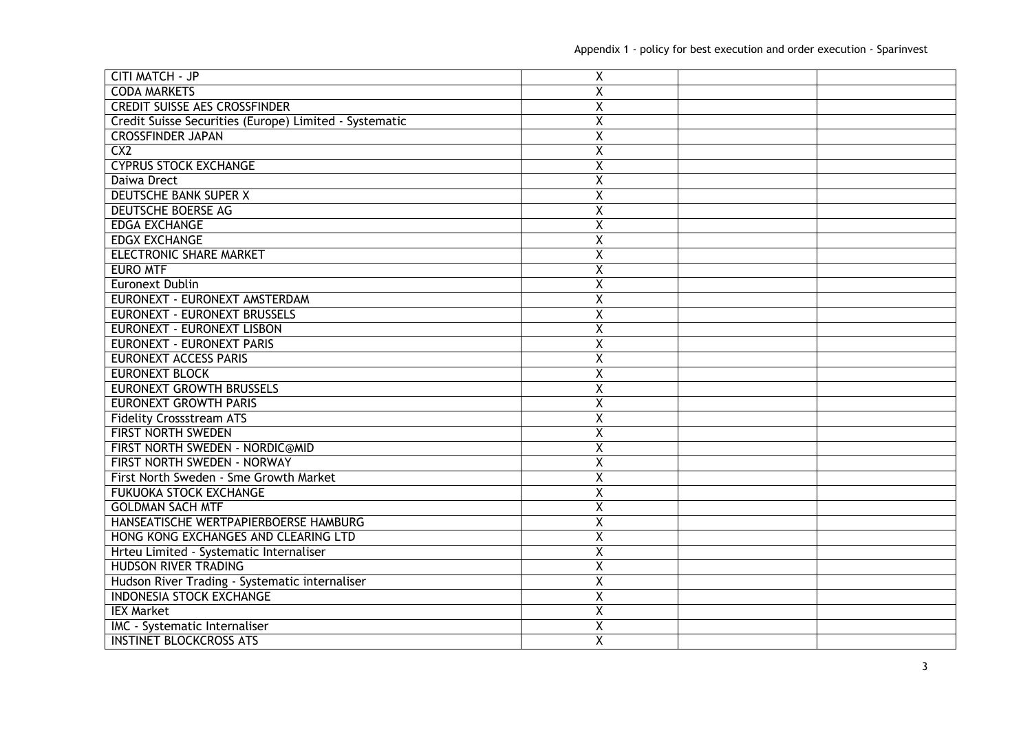| <b>CITI MATCH - JP</b>                                 | X                       |  |
|--------------------------------------------------------|-------------------------|--|
| <b>CODA MARKETS</b>                                    | $\overline{\mathsf{x}}$ |  |
| <b>CREDIT SUISSE AES CROSSFINDER</b>                   | $\overline{\mathsf{x}}$ |  |
| Credit Suisse Securities (Europe) Limited - Systematic | $\overline{\mathsf{x}}$ |  |
| <b>CROSSFINDER JAPAN</b>                               | Χ                       |  |
| CX2                                                    | Χ                       |  |
| <b>CYPRUS STOCK EXCHANGE</b>                           | Χ                       |  |
| Daiwa Drect                                            | X                       |  |
| <b>DEUTSCHE BANK SUPER X</b>                           | X                       |  |
| <b>DEUTSCHE BOERSE AG</b>                              | $\overline{\mathsf{x}}$ |  |
| <b>EDGA EXCHANGE</b>                                   | Χ                       |  |
| <b>EDGX EXCHANGE</b>                                   | $\overline{X}$          |  |
| <b>ELECTRONIC SHARE MARKET</b>                         | $\overline{\mathsf{x}}$ |  |
| <b>EURO MTF</b>                                        | Χ                       |  |
| Euronext Dublin                                        | $\overline{\mathsf{x}}$ |  |
| EURONEXT - EURONEXT AMSTERDAM                          | Χ                       |  |
| <b>EURONEXT - EURONEXT BRUSSELS</b>                    | $\overline{\mathsf{x}}$ |  |
| <b>EURONEXT - EURONEXT LISBON</b>                      | X                       |  |
| <b>EURONEXT - EURONEXT PARIS</b>                       | X                       |  |
| <b>EURONEXT ACCESS PARIS</b>                           | Χ                       |  |
| <b>EURONEXT BLOCK</b>                                  | X                       |  |
| <b>EURONEXT GROWTH BRUSSELS</b>                        | X                       |  |
| <b>EURONEXT GROWTH PARIS</b>                           | $\overline{\mathsf{x}}$ |  |
| <b>Fidelity Crossstream ATS</b>                        | $\overline{\mathsf{X}}$ |  |
| <b>FIRST NORTH SWEDEN</b>                              | $\overline{\mathsf{x}}$ |  |
| FIRST NORTH SWEDEN - NORDIC@MID                        | Χ                       |  |
| <b>FIRST NORTH SWEDEN - NORWAY</b>                     | $\overline{\mathsf{x}}$ |  |
| First North Sweden - Sme Growth Market                 | Χ                       |  |
| <b>FUKUOKA STOCK EXCHANGE</b>                          | $\overline{\mathsf{x}}$ |  |
| <b>GOLDMAN SACH MTF</b>                                | $\overline{\mathsf{x}}$ |  |
| HANSEATISCHE WERTPAPIERBOERSE HAMBURG                  | X                       |  |
| HONG KONG EXCHANGES AND CLEARING LTD                   | $\overline{\mathsf{x}}$ |  |
| Hrteu Limited - Systematic Internaliser                | Χ                       |  |
| <b>HUDSON RIVER TRADING</b>                            | Χ                       |  |
| Hudson River Trading - Systematic internaliser         | X                       |  |
| <b>INDONESIA STOCK EXCHANGE</b>                        | $\overline{\mathsf{x}}$ |  |
| <b>IEX Market</b>                                      | $\overline{X}$          |  |
| IMC - Systematic Internaliser                          | Χ                       |  |
| <b>INSTINET BLOCKCROSS ATS</b>                         | $\overline{\chi}$       |  |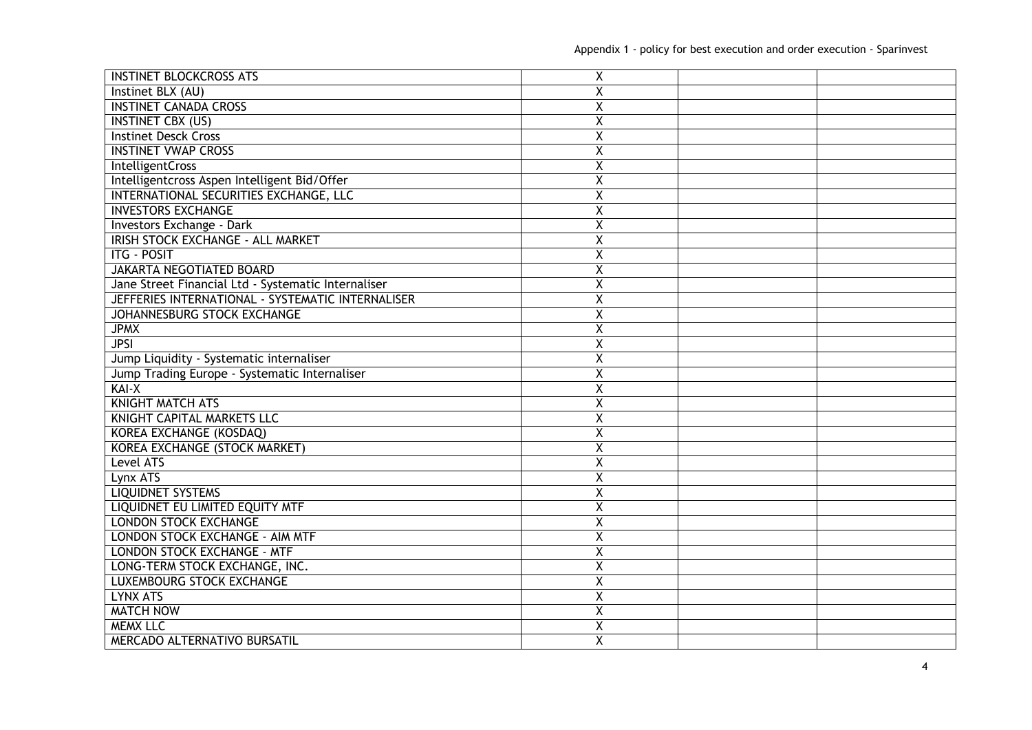| <b>INSTINET BLOCKCROSS ATS</b>                      | X                       |  |
|-----------------------------------------------------|-------------------------|--|
| Instinet BLX (AU)                                   | X                       |  |
| <b>INSTINET CANADA CROSS</b>                        | Χ                       |  |
| <b>INSTINET CBX (US)</b>                            | $\overline{\mathsf{x}}$ |  |
| <b>Instinet Desck Cross</b>                         | X                       |  |
| <b>INSTINET VWAP CROSS</b>                          | Χ                       |  |
| <b>IntelligentCross</b>                             | Χ                       |  |
| Intelligentcross Aspen Intelligent Bid/Offer        | χ                       |  |
| INTERNATIONAL SECURITIES EXCHANGE, LLC              | X                       |  |
| <b>INVESTORS EXCHANGE</b>                           | Χ                       |  |
| <b>Investors Exchange - Dark</b>                    | $\overline{\mathsf{X}}$ |  |
| IRISH STOCK EXCHANGE - ALL MARKET                   | Χ                       |  |
| <b>ITG - POSIT</b>                                  | $\overline{\mathsf{x}}$ |  |
| <b>JAKARTA NEGOTIATED BOARD</b>                     | Χ                       |  |
| Jane Street Financial Ltd - Systematic Internaliser | X                       |  |
| JEFFERIES INTERNATIONAL - SYSTEMATIC INTERNALISER   | $\overline{\mathsf{x}}$ |  |
| JOHANNESBURG STOCK EXCHANGE                         | $\overline{\mathsf{x}}$ |  |
| <b>JPMX</b>                                         | Χ                       |  |
| <b>JPSI</b>                                         | X                       |  |
| Jump Liquidity - Systematic internaliser            | Χ                       |  |
| Jump Trading Europe - Systematic Internaliser       | Χ                       |  |
| KAI-X                                               | X                       |  |
| <b>KNIGHT MATCH ATS</b>                             | $\overline{\mathsf{x}}$ |  |
| <b>KNIGHT CAPITAL MARKETS LLC</b>                   | $\overline{X}$          |  |
| <b>KOREA EXCHANGE (KOSDAQ)</b>                      | Χ                       |  |
| <b>KOREA EXCHANGE (STOCK MARKET)</b>                | $\overline{\mathsf{X}}$ |  |
| Level ATS                                           | $\overline{\mathsf{x}}$ |  |
| Lynx ATS                                            | Χ                       |  |
| <b>LIQUIDNET SYSTEMS</b>                            | $\overline{\mathsf{x}}$ |  |
| LIQUIDNET EU LIMITED EQUITY MTF                     | Χ                       |  |
| <b>LONDON STOCK EXCHANGE</b>                        | Χ                       |  |
| <b>LONDON STOCK EXCHANGE - AIM MTF</b>              | $\overline{\mathsf{x}}$ |  |
| <b>LONDON STOCK EXCHANGE - MTF</b>                  | Χ                       |  |
| LONG-TERM STOCK EXCHANGE, INC.                      | Χ                       |  |
| <b>LUXEMBOURG STOCK EXCHANGE</b>                    | X                       |  |
| <b>LYNX ATS</b>                                     | Χ                       |  |
| <b>MATCH NOW</b>                                    | $\overline{\mathsf{x}}$ |  |
| <b>MEMX LLC</b>                                     | Χ                       |  |
| MERCADO ALTERNATIVO BURSATIL                        | $\overline{X}$          |  |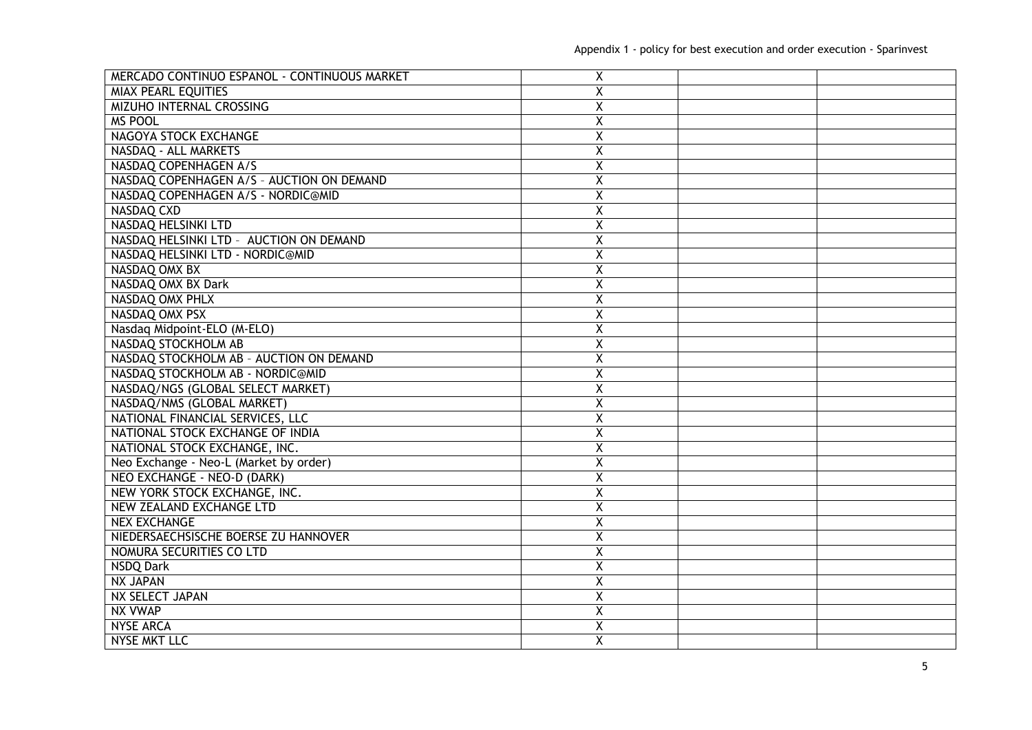| MERCADO CONTINUO ESPANOL - CONTINUOUS MARKET | X                       |  |
|----------------------------------------------|-------------------------|--|
| <b>MIAX PEARL EQUITIES</b>                   | X                       |  |
| <b>MIZUHO INTERNAL CROSSING</b>              | $\overline{\mathsf{x}}$ |  |
| <b>MS POOL</b>                               | $\overline{\mathsf{X}}$ |  |
| NAGOYA STOCK EXCHANGE                        | Χ                       |  |
| NASDAQ - ALL MARKETS                         | X                       |  |
| NASDAQ COPENHAGEN A/S                        | Χ                       |  |
| NASDAQ COPENHAGEN A/S - AUCTION ON DEMAND    | Χ                       |  |
| NASDAQ COPENHAGEN A/S - NORDIC@MID           | $\overline{\mathsf{x}}$ |  |
| <b>NASDAQ CXD</b>                            | $\overline{\mathsf{x}}$ |  |
| <b>NASDAQ HELSINKI LTD</b>                   | $\overline{\mathsf{x}}$ |  |
| NASDAQ HELSINKI LTD - AUCTION ON DEMAND      | $\overline{X}$          |  |
| NASDAQ HELSINKI LTD - NORDIC@MID             | $\overline{\mathsf{x}}$ |  |
| NASDAQ OMX BX                                | $\overline{\mathsf{x}}$ |  |
| NASDAQ OMX BX Dark                           | Χ                       |  |
| NASDAQ OMX PHLX                              | $\overline{\mathsf{x}}$ |  |
| NASDAQ OMX PSX                               | $\overline{\mathsf{x}}$ |  |
| Nasdaq Midpoint-ELO (M-ELO)                  | X                       |  |
| NASDAQ STOCKHOLM AB                          | $\overline{\mathsf{x}}$ |  |
| NASDAQ STOCKHOLM AB - AUCTION ON DEMAND      | Χ                       |  |
| NASDAQ STOCKHOLM AB - NORDIC@MID             | $\overline{\mathsf{x}}$ |  |
| NASDAQ/NGS (GLOBAL SELECT MARKET)            | Χ                       |  |
| NASDAQ/NMS (GLOBAL MARKET)                   | $\overline{\mathsf{x}}$ |  |
| NATIONAL FINANCIAL SERVICES, LLC             | $\overline{\mathsf{x}}$ |  |
| NATIONAL STOCK EXCHANGE OF INDIA             | $\overline{\mathsf{x}}$ |  |
| NATIONAL STOCK EXCHANGE, INC.                | $\overline{\mathsf{x}}$ |  |
| Neo Exchange - Neo-L (Market by order)       | $\overline{\mathsf{x}}$ |  |
| NEO EXCHANGE - NEO-D (DARK)                  | Χ                       |  |
| NEW YORK STOCK EXCHANGE, INC.                | $\overline{\mathsf{x}}$ |  |
| <b>NEW ZEALAND EXCHANGE LTD</b>              | Χ                       |  |
| <b>NEX EXCHANGE</b>                          | $\overline{\mathsf{x}}$ |  |
| NIEDERSAECHSISCHE BOERSE ZU HANNOVER         | $\overline{\mathsf{x}}$ |  |
| NOMURA SECURITIES CO LTD                     | $\overline{\mathsf{x}}$ |  |
| NSDQ Dark                                    | Χ                       |  |
| <b>NX JAPAN</b>                              | X                       |  |
| NX SELECT JAPAN                              | $\overline{\mathsf{x}}$ |  |
| <b>NX VWAP</b>                               | $\overline{\mathsf{x}}$ |  |
| <b>NYSE ARCA</b>                             | $\overline{X}$          |  |
| <b>NYSE MKT LLC</b>                          | $\overline{\mathsf{x}}$ |  |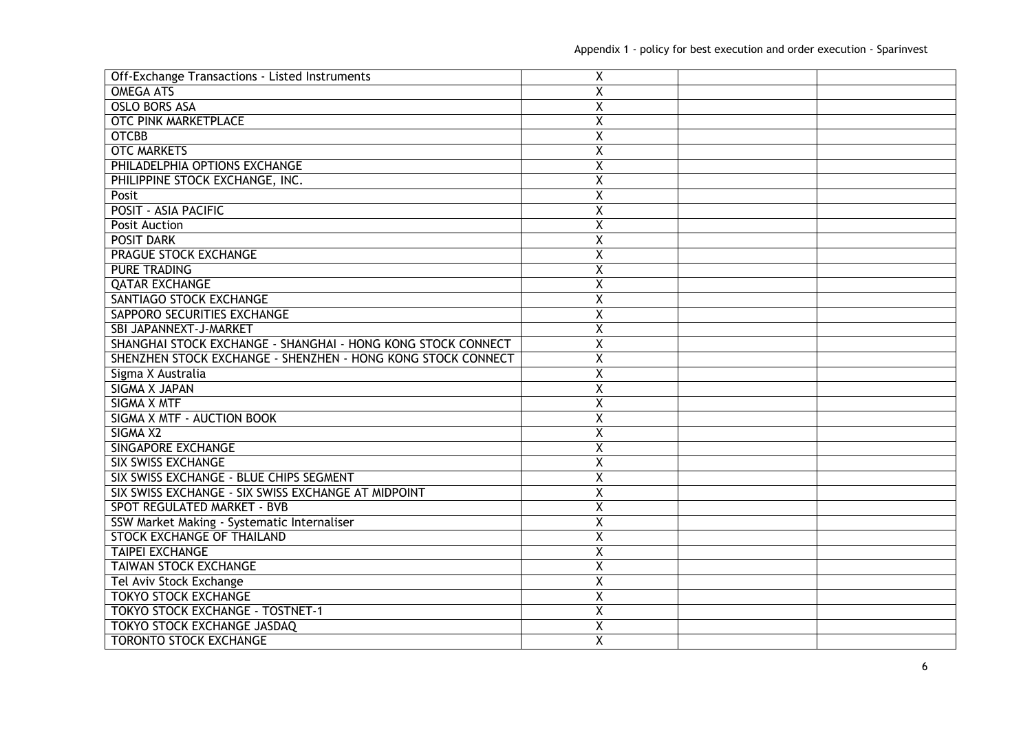| Off-Exchange Transactions - Listed Instruments               | X                       |  |
|--------------------------------------------------------------|-------------------------|--|
| <b>OMEGA ATS</b>                                             | $\overline{\mathsf{x}}$ |  |
| <b>OSLO BORS ASA</b>                                         | Χ                       |  |
| <b>OTC PINK MARKETPLACE</b>                                  | $\overline{\mathsf{x}}$ |  |
| <b>OTCBB</b>                                                 | Χ                       |  |
| <b>OTC MARKETS</b>                                           | X                       |  |
| PHILADELPHIA OPTIONS EXCHANGE                                | Χ                       |  |
| PHILIPPINE STOCK EXCHANGE, INC.                              | Χ                       |  |
| Posit                                                        | Χ                       |  |
| <b>POSIT - ASIA PACIFIC</b>                                  | $\overline{\mathsf{x}}$ |  |
| <b>Posit Auction</b>                                         | Χ                       |  |
| <b>POSIT DARK</b>                                            | $\overline{\mathsf{x}}$ |  |
| <b>PRAGUE STOCK EXCHANGE</b>                                 | $\overline{\mathsf{x}}$ |  |
| <b>PURE TRADING</b>                                          | $\overline{\mathsf{x}}$ |  |
| <b>QATAR EXCHANGE</b>                                        | Χ                       |  |
| SANTIAGO STOCK EXCHANGE                                      | $\overline{\mathsf{x}}$ |  |
| SAPPORO SECURITIES EXCHANGE                                  | $\overline{\mathsf{x}}$ |  |
| SBI JAPANNEXT-J-MARKET                                       | X                       |  |
| SHANGHAI STOCK EXCHANGE - SHANGHAI - HONG KONG STOCK CONNECT | Χ                       |  |
| SHENZHEN STOCK EXCHANGE - SHENZHEN - HONG KONG STOCK CONNECT | $\overline{\mathsf{x}}$ |  |
| Sigma X Australia                                            | Χ                       |  |
| <b>SIGMA X JAPAN</b>                                         | $\overline{\mathsf{x}}$ |  |
| <b>SIGMA X MTF</b>                                           | $\overline{\mathsf{x}}$ |  |
| SIGMA X MTF - AUCTION BOOK                                   | $\overline{\mathsf{x}}$ |  |
| SIGMA X2                                                     | $\overline{\mathsf{x}}$ |  |
| <b>SINGAPORE EXCHANGE</b>                                    | $\overline{\mathsf{x}}$ |  |
| <b>SIX SWISS EXCHANGE</b>                                    | $\overline{\mathsf{x}}$ |  |
| SIX SWISS EXCHANGE - BLUE CHIPS SEGMENT                      | X                       |  |
| SIX SWISS EXCHANGE - SIX SWISS EXCHANGE AT MIDPOINT          | Χ                       |  |
| <b>SPOT REGULATED MARKET - BVB</b>                           | $\overline{\mathsf{x}}$ |  |
| SSW Market Making - Systematic Internaliser                  | X                       |  |
| <b>STOCK EXCHANGE OF THAILAND</b>                            | Χ                       |  |
| <b>TAIPEI EXCHANGE</b>                                       | Χ                       |  |
| TAIWAN STOCK EXCHANGE                                        | Χ                       |  |
| Tel Aviv Stock Exchange                                      | X                       |  |
| <b>TOKYO STOCK EXCHANGE</b>                                  | $\overline{\mathsf{x}}$ |  |
| <b>TOKYO STOCK EXCHANGE - TOSTNET-1</b>                      | $\overline{\mathsf{x}}$ |  |
| <b>TOKYO STOCK EXCHANGE JASDAQ</b>                           | Χ                       |  |
| <b>TORONTO STOCK EXCHANGE</b>                                | $\overline{\mathsf{x}}$ |  |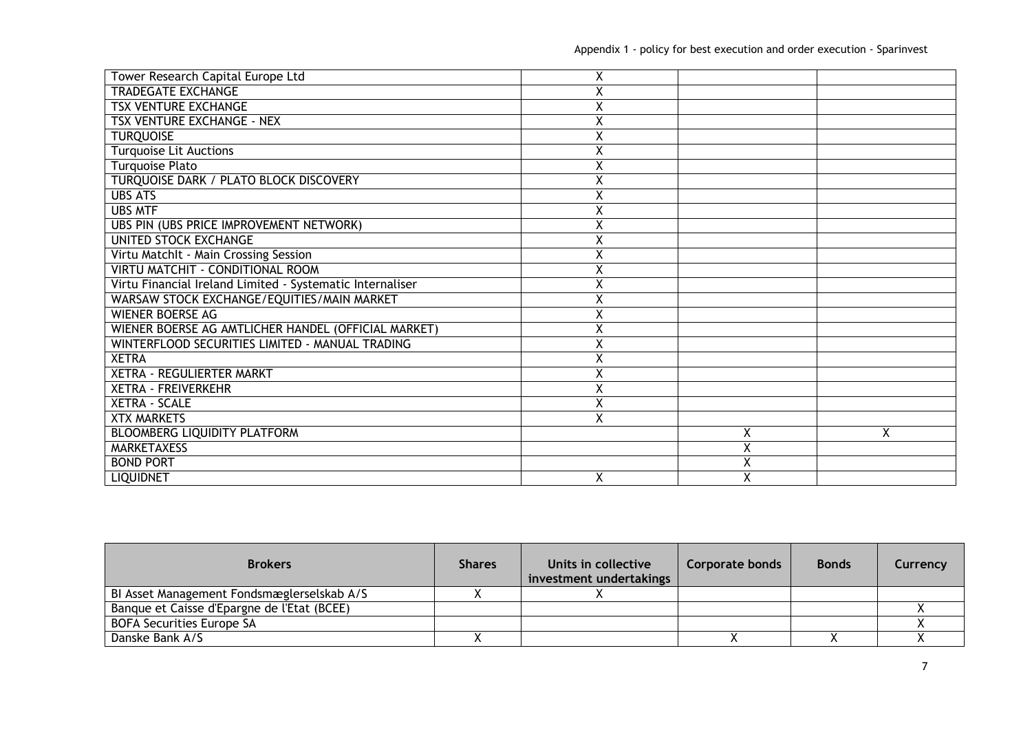| Tower Research Capital Europe Ltd                         | Χ |                         |   |
|-----------------------------------------------------------|---|-------------------------|---|
| <b>TRADEGATE EXCHANGE</b>                                 | Χ |                         |   |
| <b>TSX VENTURE EXCHANGE</b>                               | Χ |                         |   |
| <b>TSX VENTURE EXCHANGE - NEX</b>                         | Χ |                         |   |
| <b>TURQUOISE</b>                                          | Χ |                         |   |
| <b>Turquoise Lit Auctions</b>                             | Χ |                         |   |
| <b>Turquoise Plato</b>                                    | Χ |                         |   |
| TURQUOISE DARK / PLATO BLOCK DISCOVERY                    | Χ |                         |   |
| <b>UBS ATS</b>                                            | Χ |                         |   |
| <b>UBS MTF</b>                                            |   |                         |   |
| UBS PIN (UBS PRICE IMPROVEMENT NETWORK)                   | Χ |                         |   |
| UNITED STOCK EXCHANGE                                     | Χ |                         |   |
| Virtu Matchlt - Main Crossing Session                     | Χ |                         |   |
| VIRTU MATCHIT - CONDITIONAL ROOM                          | Χ |                         |   |
| Virtu Financial Ireland Limited - Systematic Internaliser | Χ |                         |   |
| WARSAW STOCK EXCHANGE/EQUITIES/MAIN MARKET                | Χ |                         |   |
| <b>WIENER BOERSE AG</b>                                   | Χ |                         |   |
| WIENER BOERSE AG AMTLICHER HANDEL (OFFICIAL MARKET)       | Χ |                         |   |
| WINTERFLOOD SECURITIES LIMITED - MANUAL TRADING           | Χ |                         |   |
| <b>XETRA</b>                                              | Χ |                         |   |
| XETRA - REGULIERTER MARKT                                 | Χ |                         |   |
| <b>XETRA - FREIVERKEHR</b>                                | Χ |                         |   |
| <b>XETRA - SCALE</b>                                      | Χ |                         |   |
| <b>XTX MARKETS</b>                                        | Χ |                         |   |
| BLOOMBERG LIQUIDITY PLATFORM                              |   | Χ                       | X |
| <b>MARKETAXESS</b>                                        |   | $\overline{\mathsf{x}}$ |   |
| <b>BOND PORT</b>                                          |   | $\overline{\mathsf{x}}$ |   |
| <b>LIQUIDNET</b>                                          | X | X                       |   |

| <b>Brokers</b>                              | <b>Shares</b> | Units in collective<br>investment undertakings | Corporate bonds | <b>Bonds</b> | Currency |
|---------------------------------------------|---------------|------------------------------------------------|-----------------|--------------|----------|
| BI Asset Management Fondsmæglerselskab A/S  |               |                                                |                 |              |          |
| Banque et Caisse d'Epargne de l'Etat (BCEE) |               |                                                |                 |              |          |
| <b>BOFA Securities Europe SA</b>            |               |                                                |                 |              |          |
| Danske Bank A/S                             |               |                                                |                 |              |          |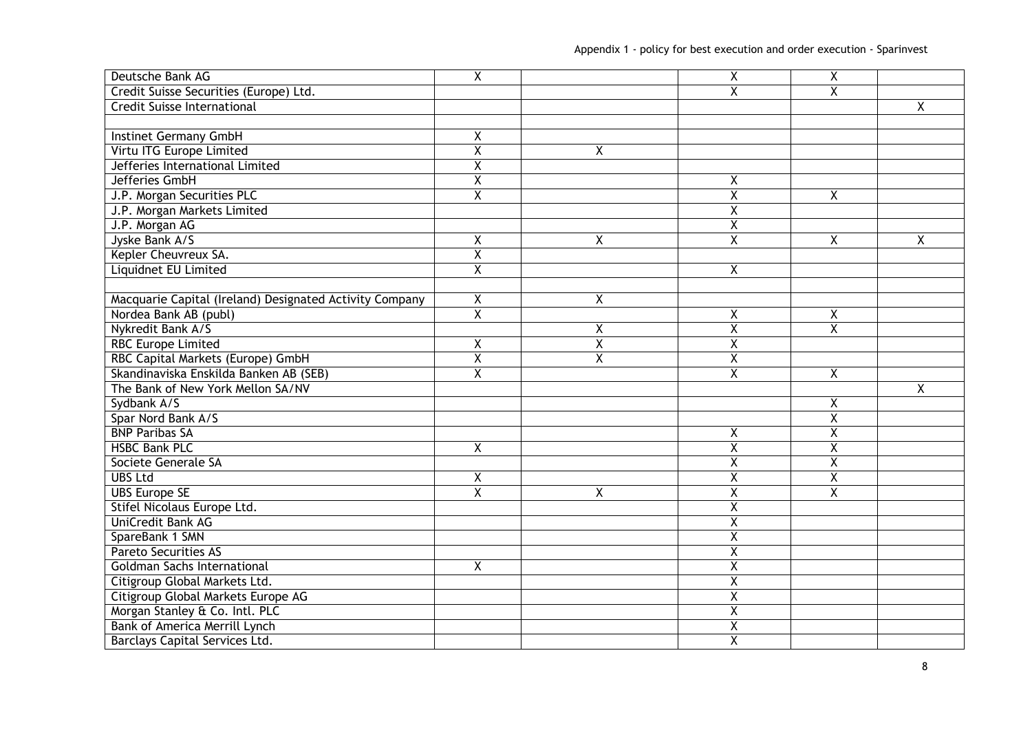| Deutsche Bank AG                                        | $\overline{\mathsf{X}}$ |   | $\overline{X}$          | $\overline{\mathsf{X}}$ |                |
|---------------------------------------------------------|-------------------------|---|-------------------------|-------------------------|----------------|
| Credit Suisse Securities (Europe) Ltd.                  |                         |   | X                       | X                       |                |
| <b>Credit Suisse International</b>                      |                         |   |                         |                         | $\overline{X}$ |
|                                                         |                         |   |                         |                         |                |
| Instinet Germany GmbH                                   | χ                       |   |                         |                         |                |
| Virtu ITG Europe Limited                                | $\overline{\mathsf{X}}$ | Χ |                         |                         |                |
| Jefferies International Limited                         | $\overline{\chi}$       |   |                         |                         |                |
| Jefferies GmbH                                          | $\pmb{\mathsf{X}}$      |   | X                       |                         |                |
| J.P. Morgan Securities PLC                              | Χ                       |   | Χ                       | X                       |                |
| J.P. Morgan Markets Limited                             |                         |   | $\overline{\mathsf{x}}$ |                         |                |
| J.P. Morgan AG                                          |                         |   | $\overline{\mathsf{x}}$ |                         |                |
| Jyske Bank A/S                                          | X                       | χ | $\overline{X}$          | X                       | X              |
| Kepler Cheuvreux SA.                                    | $\overline{\mathsf{X}}$ |   |                         |                         |                |
| <b>Liquidnet EU Limited</b>                             | $\overline{\mathsf{x}}$ |   | $\overline{X}$          |                         |                |
|                                                         |                         |   |                         |                         |                |
| Macquarie Capital (Ireland) Designated Activity Company | X                       | χ |                         |                         |                |
| Nordea Bank AB (publ)                                   | $\overline{X}$          |   | $\overline{\mathsf{x}}$ | Χ                       |                |
| Nykredit Bank A/S                                       |                         | Χ | $\overline{X}$          | X                       |                |
| <b>RBC Europe Limited</b>                               | Χ                       | Χ | Χ                       |                         |                |
| RBC Capital Markets (Europe) GmbH                       | $\overline{\mathsf{x}}$ | Χ | $\overline{\mathsf{x}}$ |                         |                |
| Skandinaviska Enskilda Banken AB (SEB)                  | $\overline{\mathsf{X}}$ |   | Χ                       | X                       |                |
| The Bank of New York Mellon SA/NV                       |                         |   |                         |                         | Χ              |
| Sydbank A/S                                             |                         |   |                         | $\overline{X}$          |                |
| Spar Nord Bank A/S                                      |                         |   |                         | $\overline{\mathsf{x}}$ |                |
| <b>BNP Paribas SA</b>                                   |                         |   | X                       | $\overline{\mathsf{x}}$ |                |
| <b>HSBC Bank PLC</b>                                    | $\overline{\mathsf{x}}$ |   | $\overline{\mathsf{X}}$ | $\overline{\mathsf{X}}$ |                |
| Societe Generale SA                                     |                         |   | $\overline{\mathsf{X}}$ | $\overline{\mathsf{x}}$ |                |
| <b>UBS Ltd</b>                                          | $\pmb{\mathsf{X}}$      |   | $\overline{\mathsf{X}}$ | $\overline{\mathsf{x}}$ |                |
| <b>UBS Europe SE</b>                                    | $\overline{\chi}$       | Χ | $\overline{\mathsf{x}}$ | $\overline{\mathsf{X}}$ |                |
| Stifel Nicolaus Europe Ltd.                             |                         |   | $\overline{X}$          |                         |                |
| UniCredit Bank AG                                       |                         |   | $\overline{X}$          |                         |                |
| SpareBank 1 SMN                                         |                         |   | $\overline{\mathsf{x}}$ |                         |                |
| <b>Pareto Securities AS</b>                             |                         |   | $\overline{\mathsf{x}}$ |                         |                |
| <b>Goldman Sachs International</b>                      | $\overline{X}$          |   | $\overline{\mathsf{x}}$ |                         |                |
| Citigroup Global Markets Ltd.                           |                         |   | $\overline{\mathsf{x}}$ |                         |                |
| Citigroup Global Markets Europe AG                      |                         |   | $\overline{X}$          |                         |                |
| Morgan Stanley & Co. Intl. PLC                          |                         |   | $\overline{\mathsf{x}}$ |                         |                |
| Bank of America Merrill Lynch                           |                         |   | $\overline{\mathsf{X}}$ |                         |                |
| Barclays Capital Services Ltd.                          |                         |   | $\overline{X}$          |                         |                |